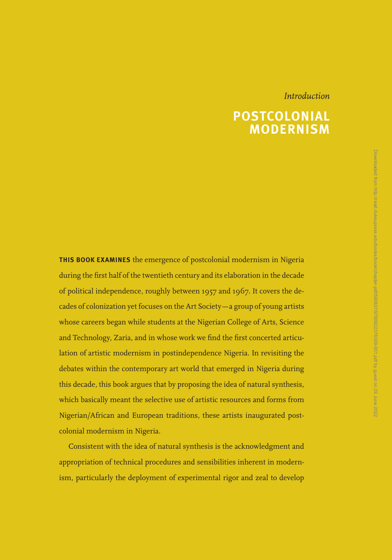## *Introduction*

# **POSTCOLONIAL MODERNISM**

**THIS BOOK EXAMINES** the emergence of postcolonial modernism in Nigeria during the first half of the twentieth century and its elaboration in the decade of political independence, roughly between 1957 and 1967. It covers the decades of colonization yet focuses on the Art Society—a group of young artists whose careers began while students at the Nigerian College of Arts, Science and Technology, Zaria, and in whose work we find the first concerted articulation of artistic modernism in postindependence Nigeria. In revisiting the debates within the contemporary art world that emerged in Nigeria during this decade, this book argues that by proposing the idea of natural synthesis, which basically meant the selective use of artistic resources and forms from Nigerian/African and European traditions, these artists inaugurated postcolonial modernism in Nigeria.

Consistent with the idea of natural synthesis is the acknowledgment and appropriation of technical procedures and sensibilities inherent in modernism, particularly the deployment of experimental rigor and zeal to develop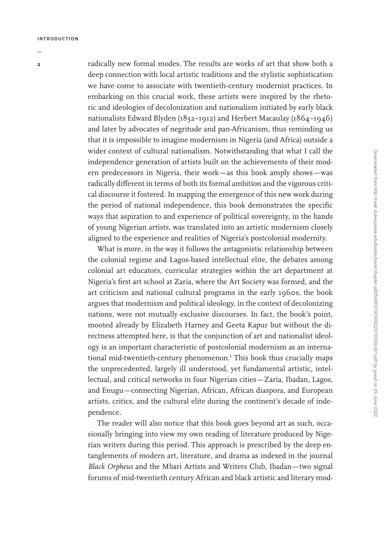radically new formal modes. The results are works of art that show both a deep connection with local artistic traditions and the stylistic sophistication we have come to associate with twentieth-century modernist practices. In embarking on this crucial work, these artists were inspired by the rhetoric and ideologies of decolonization and nationalism initiated by early black nationalists Edward Blyden (1832–1912) and Herbert Macaulay (1864–1946) and later by advocates of negritude and pan-Africanism, thus reminding us that it is impossible to imagine modernism in Nigeria (and Africa) outside a wider context of cultural nationalism. Notwithstanding that what I call the independence generation of artists built on the achievements of their modern predecessors in Nigeria, their work—as this book amply shows—was radically different in terms of both its formal ambition and the vigorous critical discourse it fostered. In mapping the emergence of this new work during the period of national independence, this book demonstrates the specific ways that aspiration to and experience of political sovereignty, in the hands of young Nigerian artists, was translated into an artistic modernism closely aligned to the experience and realities of Nigeria's postcolonial modernity.

What is more, in the way it follows the antagonistic relationship between the colonial regime and Lagos-based intellectual elite, the debates among colonial art educators, curricular strategies within the art department at Nigeria's first art school at Zaria, where the Art Society was formed, and the art criticism and national cultural programs in the early 1960s, the book argues that modernism and political ideology, in the context of decolonizing nations, were not mutually exclusive discourses. In fact, the book's point, mooted already by Elizabeth Harney and Geeta Kapur but without the directness attempted here, is that the conjunction of art and nationalist ideology is an important characteristic of postcolonial modernism as an international mid-twentieth-century phenomenon.<sup>1</sup> This book thus crucially maps the unprecedented, largely ill understood, yet fundamental artistic, intellectual, and critical networks in four Nigerian cities—Zaria, Ibadan, Lagos, and Enugu—connecting Nigerian, African, African diaspora, and European artists, critics, and the cultural elite during the continent's decade of independence.

The reader will also notice that this book goes beyond art as such, occasionally bringing into view my own reading of literature produced by Nigerian writers during this period. This approach is prescribed by the deep entanglements of modern art, literature, and drama as indexed in the journal *Black Orpheus* and the Mbari Artists and Writers Club, Ibadan—two signal forums of mid-twentieth century African and black artistic and literary mod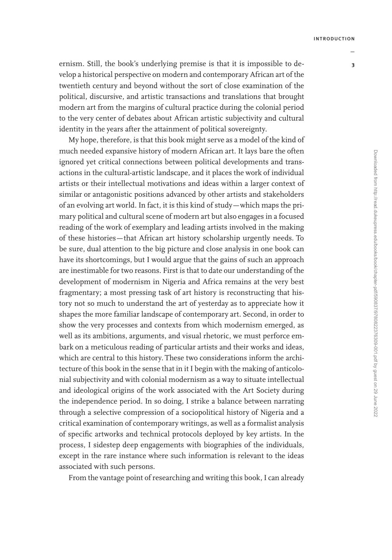ernism. Still, the book's underlying premise is that it is impossible to develop a historical perspective on modern and contemporary African art of the twentieth century and beyond without the sort of close examination of the political, discursive, and artistic transactions and translations that brought modern art from the margins of cultural practice during the colonial period to the very center of debates about African artistic subjectivity and cultural identity in the years after the attainment of political sovereignty.

My hope, therefore, is that this book might serve as a model of the kind of much needed expansive history of modern African art. It lays bare the often ignored yet critical connections between political developments and transactions in the cultural-artistic landscape, and it places the work of individual artists or their intellectual motivations and ideas within a larger context of similar or antagonistic positions advanced by other artists and stakeholders of an evolving art world. In fact, it is this kind of study—which maps the primary political and cultural scene of modern art but also engages in a focused reading of the work of exemplary and leading artists involved in the making of these histories—that African art history scholarship urgently needs. To be sure, dual attention to the big picture and close analysis in one book can have its shortcomings, but I would argue that the gains of such an approach are inestimable for two reasons. First is that to date our understanding of the development of modernism in Nigeria and Africa remains at the very best fragmentary; a most pressing task of art history is reconstructing that history not so much to understand the art of yesterday as to appreciate how it shapes the more familiar landscape of contemporary art. Second, in order to show the very processes and contexts from which modernism emerged, as well as its ambitions, arguments, and visual rhetoric, we must perforce embark on a meticulous reading of particular artists and their works and ideas, which are central to this history. These two considerations inform the architecture of this book in the sense that in it I begin with the making of anticolonial subjectivity and with colonial modernism as a way to situate intellectual and ideological origins of the work associated with the Art Society during the independence period. In so doing, I strike a balance between narrating through a selective compression of a sociopolitical history of Nigeria and a critical examination of contemporary writings, as well as a formalist analysis of specific artworks and technical protocols deployed by key artists. In the process, I sidestep deep engagements with biographies of the individuals, except in the rare instance where such information is relevant to the ideas associated with such persons.

From the vantage point of researching and writing this book, I can already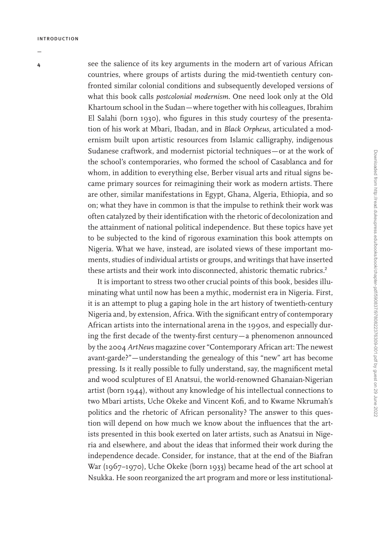see the salience of its key arguments in the modern art of various African countries, where groups of artists during the mid-twentieth century confronted similar colonial conditions and subsequently developed versions of what this book calls *postcolonial modernism*. One need look only at the Old Khartoum school in the Sudan—where together with his colleagues, Ibrahim El Salahi (born 1930), who figures in this study courtesy of the presentation of his work at Mbari, Ibadan, and in *Black Orpheus*, articulated a modernism built upon artistic resources from Islamic calligraphy, indigenous Sudanese craftwork, and modernist pictorial techniques—or at the work of the school's contemporaries, who formed the school of Casablanca and for whom, in addition to everything else, Berber visual arts and ritual signs became primary sources for reimagining their work as modern artists. There are other, similar manifestations in Egypt, Ghana, Algeria, Ethiopia, and so on; what they have in common is that the impulse to rethink their work was often catalyzed by their identification with the rhetoric of decolonization and the attainment of national political independence. But these topics have yet to be subjected to the kind of rigorous examination this book attempts on Nigeria. What we have, instead, are isolated views of these important moments, studies of individual artists or groups, and writings that have inserted these artists and their work into disconnected, ahistoric thematic rubrics.<sup>2</sup>

It is important to stress two other crucial points of this book, besides illuminating what until now has been a mythic, modernist era in Nigeria. First, it is an attempt to plug a gaping hole in the art history of twentieth-century Nigeria and, by extension, Africa. With the significant entry of contemporary African artists into the international arena in the 1990s, and especially during the first decade of the twenty-first century—a phenomenon announced by the 2004 *ArtNews* magazine cover "Contemporary African art: The newest avant-garde?"—understanding the genealogy of this "new" art has become pressing. Is it really possible to fully understand, say, the magnificent metal and wood sculptures of El Anatsui, the world-renowned Ghanaian-Nigerian artist (born 1944), without any knowledge of his intellectual connections to two Mbari artists, Uche Okeke and Vincent Kofi, and to Kwame Nkrumah's politics and the rhetoric of African personality? The answer to this question will depend on how much we know about the influences that the artists presented in this book exerted on later artists, such as Anatsui in Nigeria and elsewhere, and about the ideas that informed their work during the independence decade. Consider, for instance, that at the end of the Biafran War (1967–1970), Uche Okeke (born 1933) became head of the art school at Nsukka. He soon reorganized the art program and more or less institutional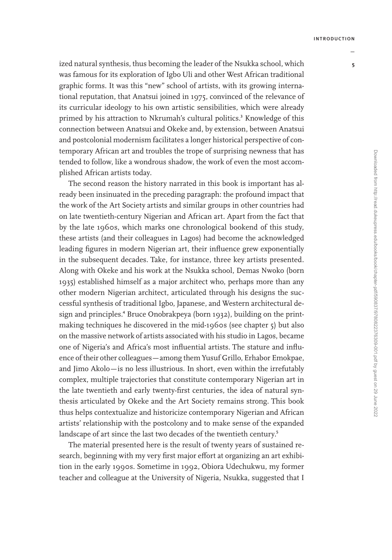ized natural synthesis, thus becoming the leader of the Nsukka school, which was famous for its exploration of Igbo Uli and other West African traditional graphic forms. It was this "new" school of artists, with its growing international reputation, that Anatsui joined in 1975, convinced of the relevance of its curricular ideology to his own artistic sensibilities, which were already primed by his attraction to Nkrumah's cultural politics.<sup>3</sup> Knowledge of this connection between Anatsui and Okeke and, by extension, between Anatsui and postcolonial modernism facilitates a longer historical perspective of contemporary African art and troubles the trope of surprising newness that has tended to follow, like a wondrous shadow, the work of even the most accomplished African artists today.

The second reason the history narrated in this book is important has already been insinuated in the preceding paragraph: the profound impact that the work of the Art Society artists and similar groups in other countries had on late twentieth-century Nigerian and African art. Apart from the fact that by the late 1960s, which marks one chronological bookend of this study, these artists (and their colleagues in Lagos) had become the acknowledged leading figures in modern Nigerian art, their influence grew exponentially in the subsequent decades. Take, for instance, three key artists presented. Along with Okeke and his work at the Nsukka school, Demas Nwoko (born 1935) established himself as a major architect who, perhaps more than any other modern Nigerian architect, articulated through his designs the successful synthesis of traditional Igbo, Japanese, and Western architectural design and principles.<sup>4</sup> Bruce Onobrakpeya (born 1932), building on the printmaking techniques he discovered in the mid-1960s (see chapter 5) but also on the massive network of artists associated with his studio in Lagos, became one of Nigeria's and Africa's most influential artists. The stature and influence of their other colleagues—among them Yusuf Grillo, Erhabor Emokpae, and Jimo Akolo—is no less illustrious. In short, even within the irrefutably complex, multiple trajectories that constitute contemporary Nigerian art in the late twentieth and early twenty-first centuries, the idea of natural synthesis articulated by Okeke and the Art Society remains strong. This book thus helps contextualize and historicize contemporary Nigerian and African artists' relationship with the postcolony and to make sense of the expanded landscape of art since the last two decades of the twentieth century.<sup>5</sup>

The material presented here is the result of twenty years of sustained research, beginning with my very first major effort at organizing an art exhibition in the early 1990s. Sometime in 1992, Obiora Udechukwu, my former teacher and colleague at the University of Nigeria, Nsukka, suggested that I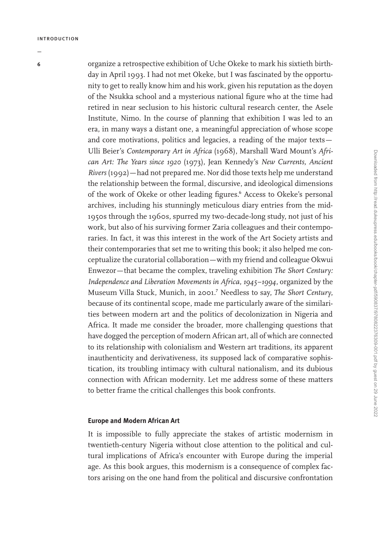organize a retrospective exhibition of Uche Okeke to mark his sixtieth birthday in April 1993. I had not met Okeke, but I was fascinated by the opportunity to get to really know him and his work, given his reputation as the doyen of the Nsukka school and a mysterious national figure who at the time had retired in near seclusion to his historic cultural research center, the Asele Institute, Nimo. In the course of planning that exhibition I was led to an era, in many ways a distant one, a meaningful appreciation of whose scope and core motivations, politics and legacies, a reading of the major texts— Ulli Beier's *Contemporary Art in Africa* (1968), Marshall Ward Mount's *African Art: The Years since 1920* (1973), Jean Kennedy's *New Currents, Ancient Rivers* (1992)—had not prepared me. Nor did those texts help me understand the relationship between the formal, discursive, and ideological dimensions of the work of Okeke or other leading figures.<sup>6</sup> Access to Okeke's personal archives, including his stunningly meticulous diary entries from the mid-1950s through the 1960s, spurred my two-decade-long study, not just of his work, but also of his surviving former Zaria colleagues and their contemporaries. In fact, it was this interest in the work of the Art Society artists and their contemporaries that set me to writing this book; it also helped me conceptualize the curatorial collaboration—with my friend and colleague Okwui Enwezor—that became the complex, traveling exhibition *The Short Century: Independence and Liberation Movements in Africa, 1945–1994*, organized by the Museum Villa Stuck, Munich, in 2001.7 Needless to say, *The Short Century*, because of its continental scope, made me particularly aware of the similarities between modern art and the politics of decolonization in Nigeria and Africa. It made me consider the broader, more challenging questions that have dogged the perception of modern African art, all of which are connected to its relationship with colonialism and Western art traditions, its apparent inauthenticity and derivativeness, its supposed lack of comparative sophistication, its troubling intimacy with cultural nationalism, and its dubious connection with African modernity. Let me address some of these matters to better frame the critical challenges this book confronts.

#### **Europe and Modern African Art**

It is impossible to fully appreciate the stakes of artistic modernism in twentieth-century Nigeria without close attention to the political and cultural implications of Africa's encounter with Europe during the imperial age. As this book argues, this modernism is a consequence of complex factors arising on the one hand from the political and discursive confrontation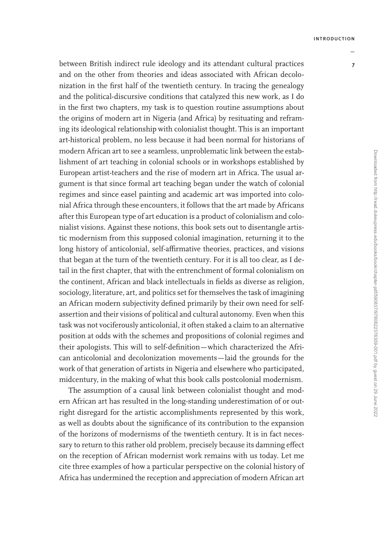between British indirect rule ideology and its attendant cultural practices and on the other from theories and ideas associated with African decolonization in the first half of the twentieth century. In tracing the genealogy and the political-discursive conditions that catalyzed this new work, as I do in the first two chapters, my task is to question routine assumptions about the origins of modern art in Nigeria (and Africa) by resituating and reframing its ideological relationship with colonialist thought. This is an important art-historical problem, no less because it had been normal for historians of modern African art to see a seamless, unproblematic link between the establishment of art teaching in colonial schools or in workshops established by European artist-teachers and the rise of modern art in Africa. The usual argument is that since formal art teaching began under the watch of colonial regimes and since easel painting and academic art was imported into colonial Africa through these encounters, it follows that the art made by Africans after this European type of art education is a product of colonialism and colonialist visions. Against these notions, this book sets out to disentangle artistic modernism from this supposed colonial imagination, returning it to the long history of anticolonial, self-affirmative theories, practices, and visions that began at the turn of the twentieth century. For it is all too clear, as I detail in the first chapter, that with the entrenchment of formal colonialism on the continent, African and black intellectuals in fields as diverse as religion, sociology, literature, art, and politics set for themselves the task of imagining an African modern subjectivity defined primarily by their own need for selfassertion and their visions of political and cultural autonomy. Even when this task was not vociferously anticolonial, it often staked a claim to an alternative position at odds with the schemes and propositions of colonial regimes and their apologists. This will to self-definition—which characterized the African anticolonial and decolonization movements—laid the grounds for the work of that generation of artists in Nigeria and elsewhere who participated, midcentury, in the making of what this book calls postcolonial modernism.

The assumption of a causal link between colonialist thought and modern African art has resulted in the long-standing underestimation of or outright disregard for the artistic accomplishments represented by this work, as well as doubts about the significance of its contribution to the expansion of the horizons of modernisms of the twentieth century. It is in fact necessary to return to this rather old problem, precisely because its damning effect on the reception of African modernist work remains with us today. Let me cite three examples of how a particular perspective on the colonial history of Africa has undermined the reception and appreciation of modern African art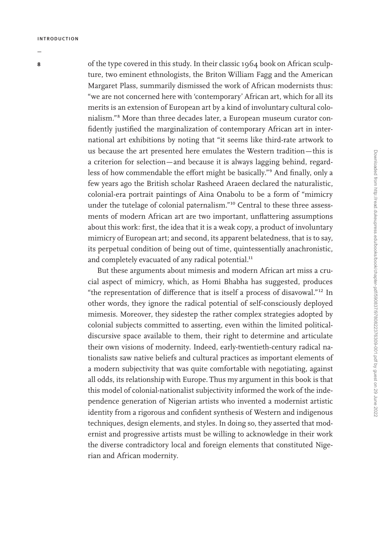of the type covered in this study. In their classic 1964 book on African sculpture, two eminent ethnologists, the Briton William Fagg and the American Margaret Plass, summarily dismissed the work of African modernists thus: "we are not concerned here with 'contemporary' African art, which for all its merits is an extension of European art by a kind of involuntary cultural colonialism."8 More than three decades later, a European museum curator confidently justified the marginalization of contemporary African art in international art exhibitions by noting that "it seems like third-rate artwork to us because the art presented here emulates the Western tradition—this is a criterion for selection—and because it is always lagging behind, regardless of how commendable the effort might be basically."9 And finally, only a few years ago the British scholar Rasheed Araeen declared the naturalistic, colonial-era portrait paintings of Aina Onabolu to be a form of "mimicry under the tutelage of colonial paternalism."10 Central to these three assessments of modern African art are two important, unflattering assumptions about this work: first, the idea that it is a weak copy, a product of involuntary mimicry of European art; and second, its apparent belatedness, that is to say, its perpetual condition of being out of time, quintessentially anachronistic, and completely evacuated of any radical potential.<sup>11</sup>

But these arguments about mimesis and modern African art miss a crucial aspect of mimicry, which, as Homi Bhabha has suggested, produces "the representation of difference that is itself a process of disavowal."12 In other words, they ignore the radical potential of self-consciously deployed mimesis. Moreover, they sidestep the rather complex strategies adopted by colonial subjects committed to asserting, even within the limited politicaldiscursive space available to them, their right to determine and articulate their own visions of modernity. Indeed, early-twentieth-century radical nationalists saw native beliefs and cultural practices as important elements of a modern subjectivity that was quite comfortable with negotiating, against all odds, its relationship with Europe. Thus my argument in this book is that this model of colonial-nationalist subjectivity informed the work of the independence generation of Nigerian artists who invented a modernist artistic identity from a rigorous and confident synthesis of Western and indigenous techniques, design elements, and styles. In doing so, they asserted that modernist and progressive artists must be willing to acknowledge in their work the diverse contradictory local and foreign elements that constituted Nigerian and African modernity.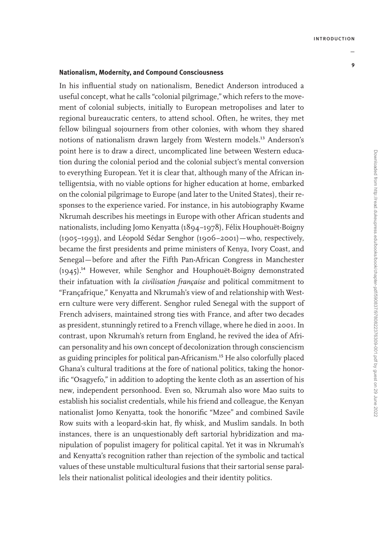### **Nationalism, Modernity, and Compound Consciousness**

In his influential study on nationalism, Benedict Anderson introduced a useful concept, what he calls "colonial pilgrimage," which refers to the movement of colonial subjects, initially to European metropolises and later to regional bureaucratic centers, to attend school. Often, he writes, they met fellow bilingual sojourners from other colonies, with whom they shared notions of nationalism drawn largely from Western models.13 Anderson's point here is to draw a direct, uncomplicated line between Western education during the colonial period and the colonial subject's mental conversion to everything European. Yet it is clear that, although many of the African intelligentsia, with no viable options for higher education at home, embarked on the colonial pilgrimage to Europe (and later to the United States), their responses to the experience varied. For instance, in his autobiography Kwame Nkrumah describes his meetings in Europe with other African students and nationalists, including Jomo Kenyatta (1894–1978), Félix Houphouët-Boigny (1905–1993), and Léopold Sédar Senghor (1906–2001)—who, respectively, became the first presidents and prime ministers of Kenya, Ivory Coast, and Senegal—before and after the Fifth Pan-African Congress in Manchester (1945).14 However, while Senghor and Houphouët-Boigny demonstrated their infatuation with *la civilisation française* and political commitment to "Françafrique," Kenyatta and Nkrumah's view of and relationship with Western culture were very different. Senghor ruled Senegal with the support of French advisers, maintained strong ties with France, and after two decades as president, stunningly retired to a French village, where he died in 2001. In contrast, upon Nkrumah's return from England, he revived the idea of African personality and his own concept of decolonization through consciencism as guiding principles for political pan-Africanism.15 He also colorfully placed Ghana's cultural traditions at the fore of national politics, taking the honorific "Osagyefo," in addition to adopting the kente cloth as an assertion of his new, independent personhood. Even so, Nkrumah also wore Mao suits to establish his socialist credentials, while his friend and colleague, the Kenyan nationalist Jomo Kenyatta, took the honorific "Mzee" and combined Savile Row suits with a leopard-skin hat, fly whisk, and Muslim sandals. In both instances, there is an unquestionably deft sartorial hybridization and manipulation of populist imagery for political capital. Yet it was in Nkrumah's and Kenyatta's recognition rather than rejection of the symbolic and tactical values of these unstable multicultural fusions that their sartorial sense parallels their nationalist political ideologies and their identity politics.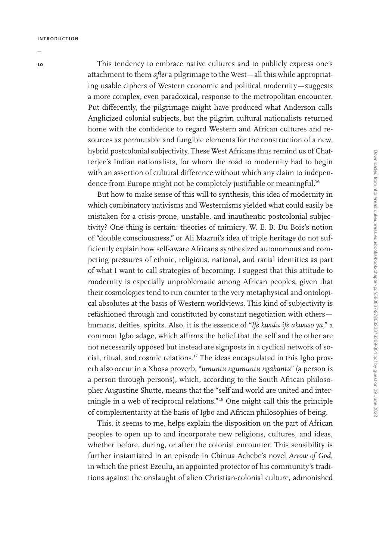This tendency to embrace native cultures and to publicly express one's attachment to them *after* a pilgrimage to the West—all this while appropriating usable ciphers of Western economic and political modernity—suggests a more complex, even paradoxical, response to the metropolitan encounter. Put differently, the pilgrimage might have produced what Anderson calls Anglicized colonial subjects, but the pilgrim cultural nationalists returned home with the confidence to regard Western and African cultures and resources as permutable and fungible elements for the construction of a new, hybrid postcolonial subjectivity. These West Africans thus remind us of Chatterjee's Indian nationalists, for whom the road to modernity had to begin with an assertion of cultural difference without which any claim to independence from Europe might not be completely justifiable or meaningful.<sup>16</sup>

But how to make sense of this will to synthesis, this idea of modernity in which combinatory nativisms and Westernisms yielded what could easily be mistaken for a crisis-prone, unstable, and inauthentic postcolonial subjectivity? One thing is certain: theories of mimicry, W. E. B. Du Bois's notion of "double consciousness," or Ali Mazrui's idea of triple heritage do not sufficiently explain how self-aware Africans synthesized autonomous and competing pressures of ethnic, religious, national, and racial identities as part of what I want to call strategies of becoming. I suggest that this attitude to modernity is especially unproblematic among African peoples, given that their cosmologies tend to run counter to the very metaphysical and ontological absolutes at the basis of Western worldviews. This kind of subjectivity is refashioned through and constituted by constant negotiation with others humans, deities, spirits. Also, it is the essence of "*Ife kwulu ife akwuso ya*," a common Igbo adage, which affirms the belief that the self and the other are not necessarily opposed but instead are signposts in a cyclical network of social, ritual, and cosmic relations.17 The ideas encapsulated in this Igbo proverb also occur in a Xhosa proverb, "*umuntu ngumuntu ngabantu*" (a person is a person through persons), which, according to the South African philosopher Augustine Shutte, means that the "self and world are united and intermingle in a web of reciprocal relations."18 One might call this the principle of complementarity at the basis of Igbo and African philosophies of being.

This, it seems to me, helps explain the disposition on the part of African peoples to open up to and incorporate new religions, cultures, and ideas, whether before, during, or after the colonial encounter. This sensibility is further instantiated in an episode in Chinua Achebe's novel *Arrow of God*, in which the priest Ezeulu, an appointed protector of his community's traditions against the onslaught of alien Christian-colonial culture, admonished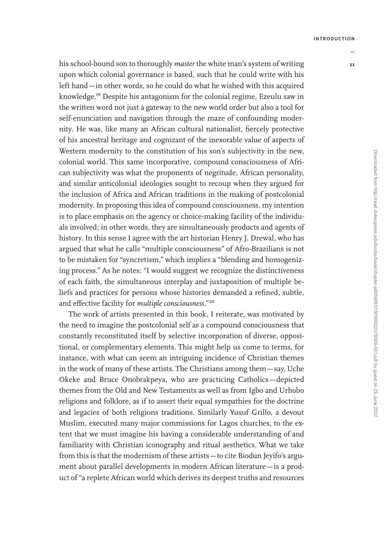his school-bound son to thoroughly *master* the white man's system of writing upon which colonial governance is based, such that he could write with his left hand—in other words, so he could do what he wished with this acquired knowledge.19 Despite his antagonism for the colonial regime, Ezeulu saw in the written word not just a gateway to the new world order but also a tool for self-enunciation and navigation through the maze of confounding modernity. He was, like many an African cultural nationalist, fiercely protective of his ancestral heritage and cognizant of the inexorable value of aspects of Western modernity to the constitution of his son's subjectivity in the new, colonial world. This same incorporative, compound consciousness of African subjectivity was what the proponents of negritude, African personality, and similar anticolonial ideologies sought to recoup when they argued for the inclusion of Africa and African traditions in the making of postcolonial modernity. In proposing this idea of compound consciousness, my intention is to place emphasis on the agency or choice-making facility of the individuals involved; in other words, they are simultaneously products and agents of history. In this sense I agree with the art historian Henry J. Drewal, who has argued that what he calls "multiple consciousness" of Afro-Brazilians is not to be mistaken for "syncretism," which implies a "blending and homogenizing process." As he notes: "I would suggest we recognize the distinctiveness of each faith, the simultaneous interplay and juxtaposition of multiple beliefs and practices for persons whose histories demanded a refined, subtle, and effective facility for *multiple consciousness*."20

The work of artists presented in this book, I reiterate, was motivated by the need to imagine the postcolonial self as a compound consciousness that constantly reconstituted itself by selective incorporation of diverse, oppositional, or complementary elements. This might help us come to terms, for instance, with what can seem an intriguing incidence of Christian themes in the work of many of these artists. The Christians among them—say, Uche Okeke and Bruce Onobrakpeya, who are practicing Catholics—depicted themes from the Old and New Testaments as well as from Igbo and Urhobo religions and folklore, as if to assert their equal sympathies for the doctrine and legacies of both religions traditions. Similarly Yusuf Grillo, a devout Muslim, executed many major commissions for Lagos churches, to the extent that we must imagine his having a considerable understanding of and familiarity with Christian iconography and ritual aesthetics. What we take from this is that the modernism of these artists—to cite Biodun Jeyifo's argument about parallel developments in modern African literature—is a product of "a replete African world which derives its deepest truths and resources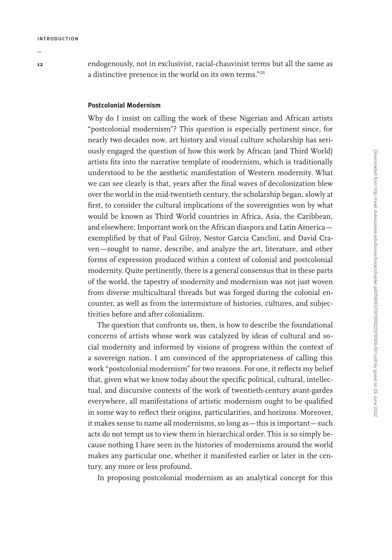endogenously, not in exclusivist, racial-chauvinist terms but all the same as a distinctive presence in the world on its own terms."21

#### **Postcolonial Modernism**

Why do I insist on calling the work of these Nigerian and African artists "postcolonial modernism"? This question is especially pertinent since, for nearly two decades now, art history and visual culture scholarship has seriously engaged the question of how this work by African (and Third World) artists fits into the narrative template of modernism, which is traditionally understood to be the aesthetic manifestation of Western modernity. What we can see clearly is that, years after the final waves of decolonization blew over the world in the mid-twentieth century, the scholarship began, slowly at first, to consider the cultural implications of the sovereignties won by what would be known as Third World countries in Africa, Asia, the Caribbean, and elsewhere. Important work on the African diaspora and Latin America exemplified by that of Paul Gilroy, Nestor Garcia Canclini, and David Craven—sought to name, describe, and analyze the art, literature, and other forms of expression produced within a context of colonial and postcolonial modernity. Quite pertinently, there is a general consensus that in these parts of the world, the tapestry of modernity and modernism was not just woven from diverse multicultural threads but was forged during the colonial encounter, as well as from the intermixture of histories, cultures, and subjectivities before and after colonialism.

The question that confronts us, then, is how to describe the foundational concerns of artists whose work was catalyzed by ideas of cultural and social modernity and informed by visions of progress within the context of a sovereign nation. I am convinced of the appropriateness of calling this work "postcolonial modernism" for two reasons. For one, it reflects my belief that, given what we know today about the specific political, cultural, intellectual, and discursive contexts of the work of twentieth-century avant-gardes everywhere, all manifestations of artistic modernism ought to be qualified in some way to reflect their origins, particularities, and horizons. Moreover, it makes sense to name *all* modernisms, so long as—this is important—such acts do not tempt us to view them in hierarchical order. This is so simply because nothing I have seen in the histories of modernisms around the world makes any particular one, whether it manifested earlier or later in the century, any more or less profound.

In proposing postcolonial modernism as an analytical concept for this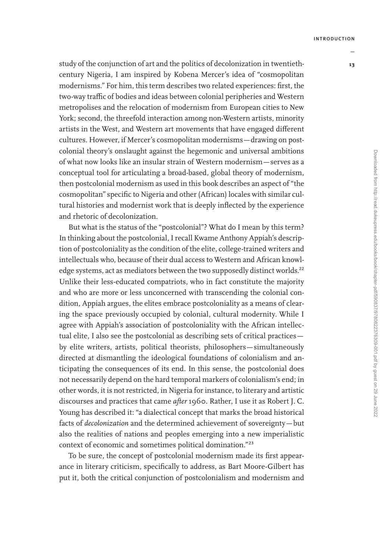study of the conjunction of art and the politics of decolonization in twentiethcentury Nigeria, I am inspired by Kobena Mercer's idea of "cosmopolitan modernisms." For him, this term describes two related experiences: first, the two-way traffic of bodies and ideas between colonial peripheries and Western metropolises and the relocation of modernism from European cities to New York; second, the threefold interaction among non-Western artists, minority artists in the West, and Western art movements that have engaged different cultures. However, if Mercer's cosmopolitan modernisms—drawing on postcolonial theory's onslaught against the hegemonic and universal ambitions of what now looks like an insular strain of Western modernism—serves as a conceptual tool for articulating a broad-based, global theory of modernism, then postcolonial modernism as used in this book describes an aspect of "the cosmopolitan" specific to Nigeria and other (African) locales with similar cultural histories and modernist work that is deeply inflected by the experience and rhetoric of decolonization.

But what is the status of the "postcolonial"? What do I mean by this term? In thinking about the postcolonial, I recall Kwame Anthony Appiah's description of postcoloniality as the condition of the elite, college-trained writers and intellectuals who, because of their dual access to Western and African knowledge systems, act as mediators between the two supposedly distinct worlds.<sup>22</sup> Unlike their less-educated compatriots, who in fact constitute the majority and who are more or less unconcerned with transcending the colonial condition, Appiah argues, the elites embrace postcoloniality as a means of clearing the space previously occupied by colonial, cultural modernity. While I agree with Appiah's association of postcoloniality with the African intellectual elite, I also see the postcolonial as describing sets of critical practices by elite writers, artists, political theorists, philosophers—simultaneously directed at dismantling the ideological foundations of colonialism and anticipating the consequences of its end. In this sense, the postcolonial does not necessarily depend on the hard temporal markers of colonialism's end; in other words, it is not restricted, in Nigeria for instance, to literary and artistic discourses and practices that came *after* 1960. Rather, I use it as Robert J. C. Young has described it: "a dialectical concept that marks the broad historical facts of *decolonization* and the determined achievement of sovereignty—but also the realities of nations and peoples emerging into a new imperialistic context of economic and sometimes political domination."23

To be sure, the concept of postcolonial modernism made its first appearance in literary criticism, specifically to address, as Bart Moore-Gilbert has put it, both the critical conjunction of postcolonialism and modernism and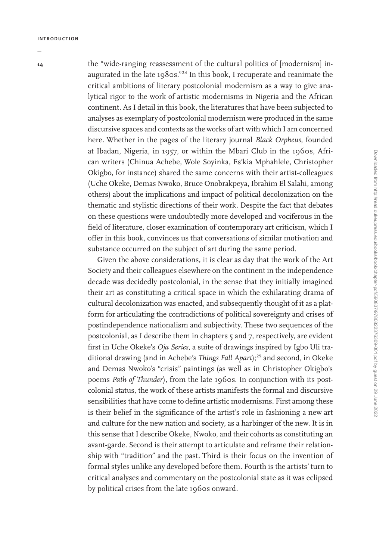the "wide-ranging reassessment of the cultural politics of [modernism] inaugurated in the late 1980s."24 In this book, I recuperate and reanimate the critical ambitions of literary postcolonial modernism as a way to give analytical rigor to the work of artistic modernisms in Nigeria and the African continent. As I detail in this book, the literatures that have been subjected to analyses as exemplary of postcolonial modernism were produced in the same discursive spaces and contexts as the works of art with which I am concerned here. Whether in the pages of the literary journal *Black Orpheus*, founded at Ibadan, Nigeria, in 1957, or within the Mbari Club in the 1960s, African writers (Chinua Achebe, Wole Soyinka, Es'kia Mphahlele, Christopher Okigbo, for instance) shared the same concerns with their artist-colleagues (Uche Okeke, Demas Nwoko, Bruce Onobrakpeya, Ibrahim El Salahi, among others) about the implications and impact of political decolonization on the thematic and stylistic directions of their work. Despite the fact that debates on these questions were undoubtedly more developed and vociferous in the field of literature, closer examination of contemporary art criticism, which I offer in this book, convinces us that conversations of similar motivation and substance occurred on the subject of art during the same period.

Given the above considerations, it is clear as day that the work of the Art Society and their colleagues elsewhere on the continent in the independence decade was decidedly postcolonial, in the sense that they initially imagined their art as constituting a critical space in which the exhilarating drama of cultural decolonization was enacted, and subsequently thought of it as a platform for articulating the contradictions of political sovereignty and crises of postindependence nationalism and subjectivity. These two sequences of the postcolonial, as I describe them in chapters 5 and 7, respectively, are evident first in Uche Okeke's *Oja Series*, a suite of drawings inspired by Igbo Uli traditional drawing (and in Achebe's *Things Fall Apart*);<sup>25</sup> and second, in Okeke and Demas Nwoko's "crisis" paintings (as well as in Christopher Okigbo's poems *Path of Thunder*), from the late 1960s. In conjunction with its postcolonial status, the work of these artists manifests the formal and discursive sensibilities that have come to define artistic modernisms. First among these is their belief in the significance of the artist's role in fashioning a new art and culture for the new nation and society, as a harbinger of the new. It is in this sense that I describe Okeke, Nwoko, and their cohorts as constituting an avant-garde. Second is their attempt to articulate and reframe their relationship with "tradition" and the past. Third is their focus on the invention of formal styles unlike any developed before them. Fourth is the artists' turn to critical analyses and commentary on the postcolonial state as it was eclipsed by political crises from the late 1960s onward.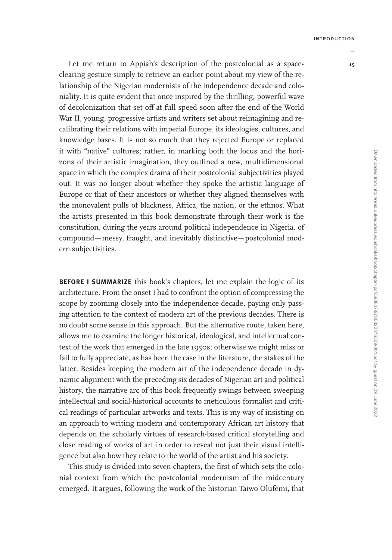Let me return to Appiah's description of the postcolonial as a spaceclearing gesture simply to retrieve an earlier point about my view of the relationship of the Nigerian modernists of the independence decade and coloniality. It is quite evident that once inspired by the thrilling, powerful wave of decolonization that set off at full speed soon after the end of the World War II, young, progressive artists and writers set about reimagining and recalibrating their relations with imperial Europe, its ideologies, cultures, and knowledge bases. It is not so much that they rejected Europe or replaced it with "native" cultures; rather, in marking both the locus and the horizons of their artistic imagination, they outlined a new, multidimensional space in which the complex drama of their postcolonial subjectivities played out. It was no longer about whether they spoke the artistic language of Europe or that of their ancestors or whether they aligned themselves with the monovalent pulls of blackness, Africa, the nation, or the ethnos. What the artists presented in this book demonstrate through their work is the constitution, during the years around political independence in Nigeria, of compound—messy, fraught, and inevitably distinctive—postcolonial modern subjectivities.

**BEFORE I SUMMARIZE** this book's chapters, let me explain the logic of its architecture. From the onset I had to confront the option of compressing the scope by zooming closely into the independence decade, paying only passing attention to the context of modern art of the previous decades. There is no doubt some sense in this approach. But the alternative route, taken here, allows me to examine the longer historical, ideological, and intellectual context of the work that emerged in the late 1950s; otherwise we might miss or fail to fully appreciate, as has been the case in the literature, the stakes of the latter. Besides keeping the modern art of the independence decade in dynamic alignment with the preceding six decades of Nigerian art and political history, the narrative arc of this book frequently swings between sweeping intellectual and social-historical accounts to meticulous formalist and critical readings of particular artworks and texts. This is my way of insisting on an approach to writing modern and contemporary African art history that depends on the scholarly virtues of research-based critical storytelling and close reading of works of art in order to reveal not just their visual intelligence but also how they relate to the world of the artist and his society.

This study is divided into seven chapters, the first of which sets the colonial context from which the postcolonial modernism of the midcentury emerged. It argues, following the work of the historian Taiwo Olufemi, that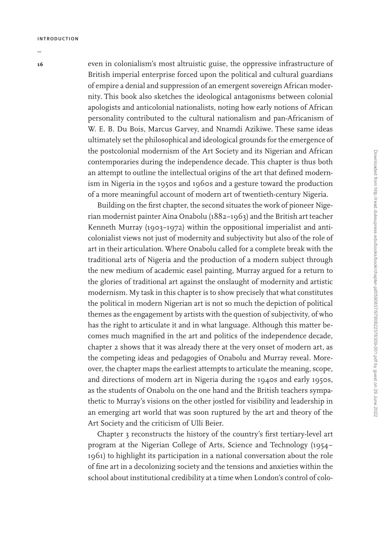even in colonialism's most altruistic guise, the oppressive infrastructure of British imperial enterprise forced upon the political and cultural guardians of empire a denial and suppression of an emergent sovereign African modernity. This book also sketches the ideological antagonisms between colonial apologists and anticolonial nationalists, noting how early notions of African personality contributed to the cultural nationalism and pan-Africanism of W. E. B. Du Bois, Marcus Garvey, and Nnamdi Azikiwe. These same ideas ultimately set the philosophical and ideological grounds for the emergence of the postcolonial modernism of the Art Society and its Nigerian and African contemporaries during the independence decade. This chapter is thus both an attempt to outline the intellectual origins of the art that defined modernism in Nigeria in the 1950s and 1960s and a gesture toward the production of a more meaningful account of modern art of twentieth-century Nigeria.

Building on the first chapter, the second situates the work of pioneer Nigerian modernist painter Aina Onabolu (1882–1963) and the British art teacher Kenneth Murray (1903–1972) within the oppositional imperialist and anticolonialist views not just of modernity and subjectivity but also of the role of art in their articulation. Where Onabolu called for a complete break with the traditional arts of Nigeria and the production of a modern subject through the new medium of academic easel painting, Murray argued for a return to the glories of traditional art against the onslaught of modernity and artistic modernism. My task in this chapter is to show precisely that what constitutes the political in modern Nigerian art is not so much the depiction of political themes as the engagement by artists with the question of subjectivity, of who has the right to articulate it and in what language. Although this matter becomes much magnified in the art and politics of the independence decade, chapter 2 shows that it was already there at the very onset of modern art, as the competing ideas and pedagogies of Onabolu and Murray reveal. Moreover, the chapter maps the earliest attempts to articulate the meaning, scope, and directions of modern art in Nigeria during the 1940s and early 1950s, as the students of Onabolu on the one hand and the British teachers sympathetic to Murray's visions on the other jostled for visibility and leadership in an emerging art world that was soon ruptured by the art and theory of the Art Society and the criticism of Ulli Beier.

Chapter 3 reconstructs the history of the country's first tertiary-level art program at the Nigerian College of Arts, Science and Technology (1954– 1961) to highlight its participation in a national conversation about the role of fine art in a decolonizing society and the tensions and anxieties within the school about institutional credibility at a time when London's control of colo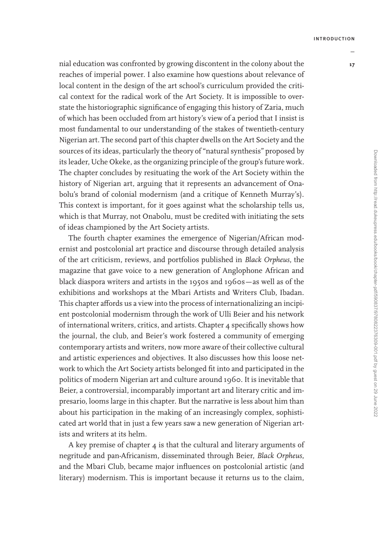nial education was confronted by growing discontent in the colony about the reaches of imperial power. I also examine how questions about relevance of local content in the design of the art school's curriculum provided the critical context for the radical work of the Art Society. It is impossible to overstate the historiographic significance of engaging this history of Zaria, much of which has been occluded from art history's view of a period that I insist is most fundamental to our understanding of the stakes of twentieth-century Nigerian art. The second part of this chapter dwells on the Art Society and the sources of its ideas, particularly the theory of "natural synthesis" proposed by its leader, Uche Okeke, as the organizing principle of the group's future work. The chapter concludes by resituating the work of the Art Society within the history of Nigerian art, arguing that it represents an advancement of Onabolu's brand of colonial modernism (and a critique of Kenneth Murray's). This context is important, for it goes against what the scholarship tells us, which is that Murray, not Onabolu, must be credited with initiating the sets of ideas championed by the Art Society artists.

The fourth chapter examines the emergence of Nigerian/African modernist and postcolonial art practice and discourse through detailed analysis of the art criticism, reviews, and portfolios published in *Black Orpheus*, the magazine that gave voice to a new generation of Anglophone African and black diaspora writers and artists in the 1950s and 1960s—as well as of the exhibitions and workshops at the Mbari Artists and Writers Club, Ibadan. This chapter affords us a view into the process of internationalizing an incipient postcolonial modernism through the work of Ulli Beier and his network of international writers, critics, and artists. Chapter 4 specifically shows how the journal, the club, and Beier's work fostered a community of emerging contemporary artists and writers, now more aware of their collective cultural and artistic experiences and objectives. It also discusses how this loose network to which the Art Society artists belonged fit into and participated in the politics of modern Nigerian art and culture around 1960. It is inevitable that Beier, a controversial, incomparably important art and literary critic and impresario, looms large in this chapter. But the narrative is less about him than about his participation in the making of an increasingly complex, sophisticated art world that in just a few years saw a new generation of Nigerian artists and writers at its helm.

A key premise of chapter 4 is that the cultural and literary arguments of negritude and pan-Africanism, disseminated through Beier, *Black Orpheus*, and the Mbari Club, became major influences on postcolonial artistic (and literary) modernism. This is important because it returns us to the claim,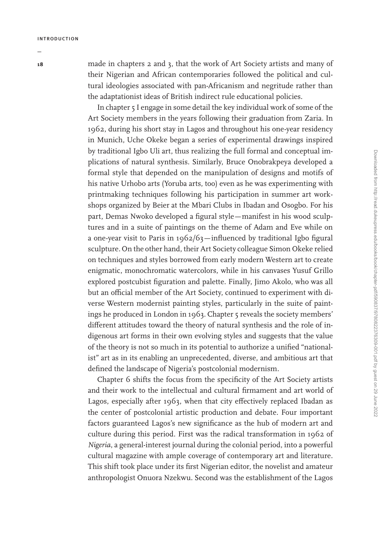made in chapters 2 and 3, that the work of Art Society artists and many of their Nigerian and African contemporaries followed the political and cultural ideologies associated with pan-Africanism and negritude rather than the adaptationist ideas of British indirect rule educational policies.

In chapter 5 I engage in some detail the key individual work of some of the Art Society members in the years following their graduation from Zaria. In 1962, during his short stay in Lagos and throughout his one-year residency in Munich, Uche Okeke began a series of experimental drawings inspired by traditional Igbo Uli art, thus realizing the full formal and conceptual implications of natural synthesis. Similarly, Bruce Onobrakpeya developed a formal style that depended on the manipulation of designs and motifs of his native Urhobo arts (Yoruba arts, too) even as he was experimenting with printmaking techniques following his participation in summer art workshops organized by Beier at the Mbari Clubs in Ibadan and Osogbo. For his part, Demas Nwoko developed a figural style—manifest in his wood sculptures and in a suite of paintings on the theme of Adam and Eve while on a one-year visit to Paris in 1962/63—influenced by traditional Igbo figural sculpture. On the other hand, their Art Society colleague Simon Okeke relied on techniques and styles borrowed from early modern Western art to create enigmatic, monochromatic watercolors, while in his canvases Yusuf Grillo explored postcubist figuration and palette. Finally, Jimo Akolo, who was all but an official member of the Art Society, continued to experiment with diverse Western modernist painting styles, particularly in the suite of paintings he produced in London in 1963. Chapter 5 reveals the society members' different attitudes toward the theory of natural synthesis and the role of indigenous art forms in their own evolving styles and suggests that the value of the theory is not so much in its potential to authorize a unified "nationalist" art as in its enabling an unprecedented, diverse, and ambitious art that defined the landscape of Nigeria's postcolonial modernism.

Chapter 6 shifts the focus from the specificity of the Art Society artists and their work to the intellectual and cultural firmament and art world of Lagos, especially after 1963, when that city effectively replaced Ibadan as the center of postcolonial artistic production and debate. Four important factors guaranteed Lagos's new significance as the hub of modern art and culture during this period. First was the radical transformation in 1962 of *Nigeria*, a general-interest journal during the colonial period, into a powerful cultural magazine with ample coverage of contemporary art and literature. This shift took place under its first Nigerian editor, the novelist and amateur anthropologist Onuora Nzekwu. Second was the establishment of the Lagos

**18** —